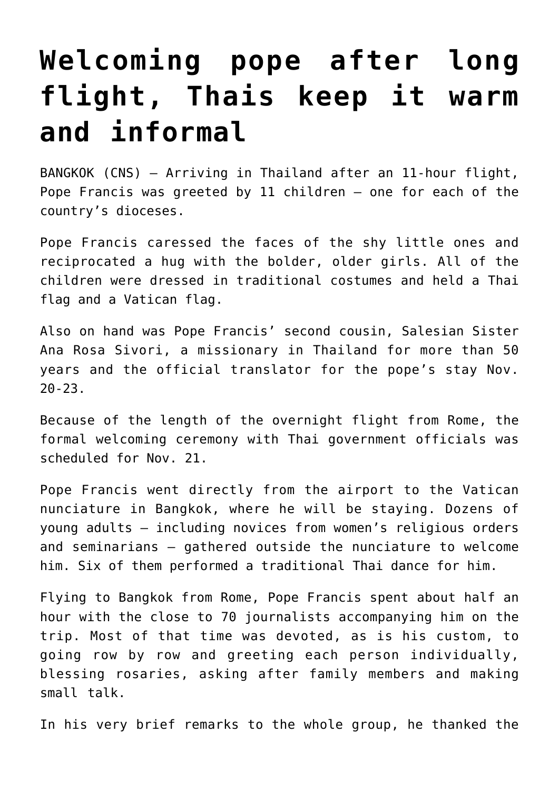## **[Welcoming pope after long](https://www.osvnews.com/2019/11/20/welcoming-pope-after-long-flight-thais-keep-it-warm-and-informal/) [flight, Thais keep it warm](https://www.osvnews.com/2019/11/20/welcoming-pope-after-long-flight-thais-keep-it-warm-and-informal/) [and informal](https://www.osvnews.com/2019/11/20/welcoming-pope-after-long-flight-thais-keep-it-warm-and-informal/)**

BANGKOK (CNS) — Arriving in Thailand after an 11-hour flight, Pope Francis was greeted by 11 children — one for each of the country's dioceses.

Pope Francis caressed the faces of the shy little ones and reciprocated a hug with the bolder, older girls. All of the children were dressed in traditional costumes and held a Thai flag and a Vatican flag.

Also on hand was Pope Francis' second cousin, Salesian Sister Ana Rosa Sivori, a missionary in Thailand for more than 50 years and the official translator for the pope's stay Nov. 20-23.

Because of the length of the overnight flight from Rome, the formal welcoming ceremony with Thai government officials was scheduled for Nov. 21.

Pope Francis went directly from the airport to the Vatican nunciature in Bangkok, where he will be staying. Dozens of young adults — including novices from women's religious orders and seminarians — gathered outside the nunciature to welcome him. Six of them performed a traditional Thai dance for him.

Flying to Bangkok from Rome, Pope Francis spent about half an hour with the close to 70 journalists accompanying him on the trip. Most of that time was devoted, as is his custom, to going row by row and greeting each person individually, blessing rosaries, asking after family members and making small talk.

In his very brief remarks to the whole group, he thanked the